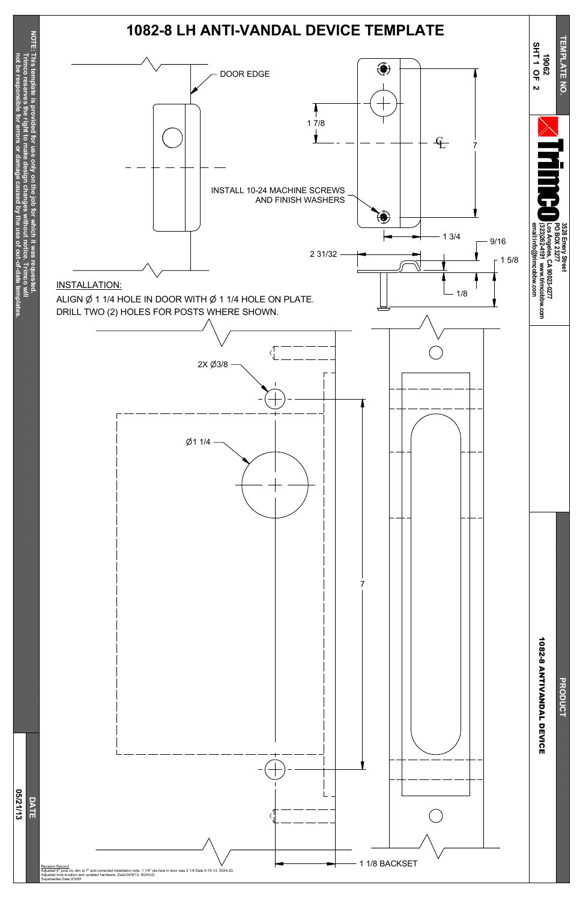**Trim c o**  $\leq$ 

**Trim c o**

**reserves**

reserves

**the right to make**

**design**

**changes**

**without**

**notice.**

**not be resp**

**onsible**

**for**

**errors or**

**damage**

**caused**

**b y the use of**

**out-of-date**

**Haate** 

out-of

**tem**

**plates.**

**0 5/21/13**